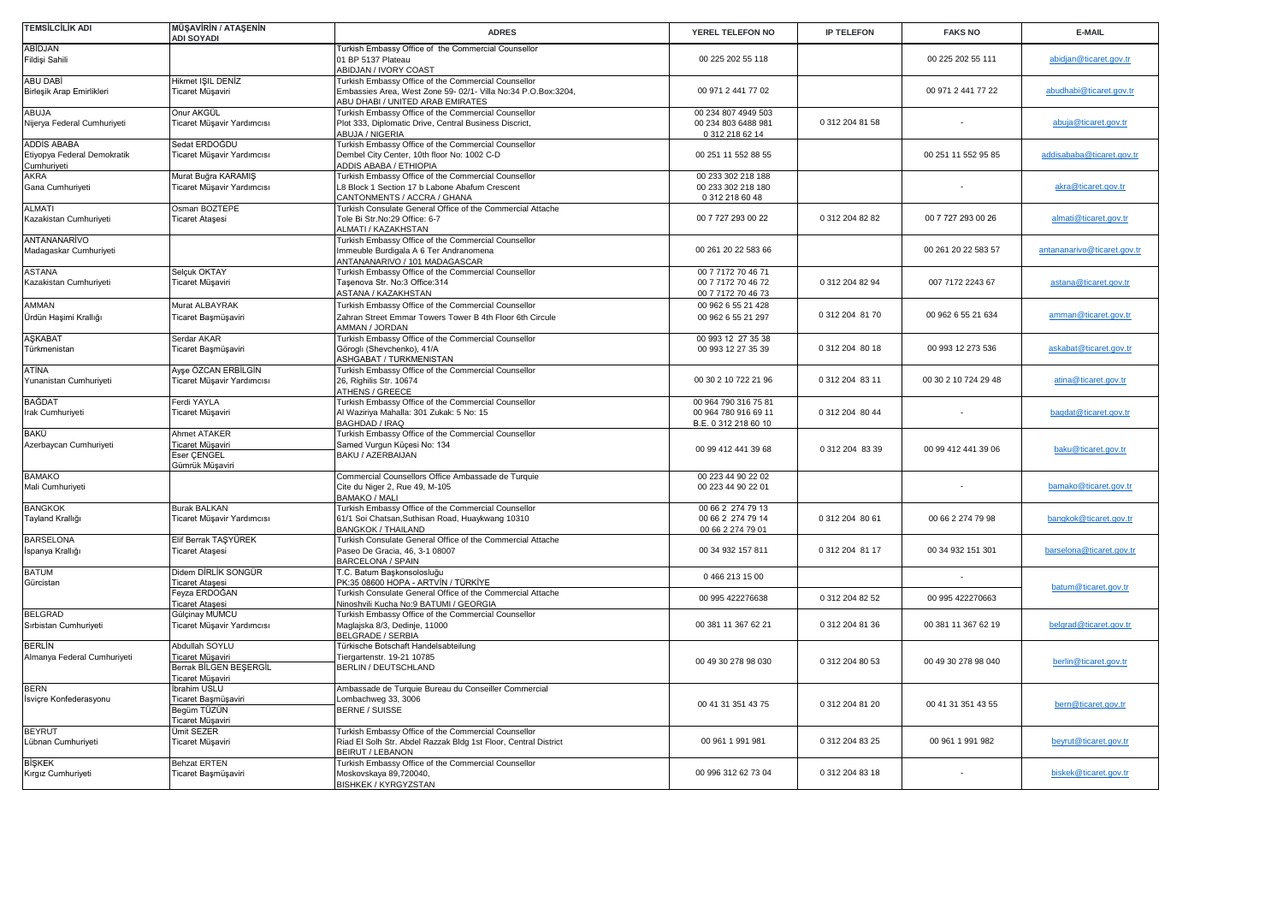| TEMSİLCİLİK ADI                                           | <b>MÜŞAVİRİN / ATAŞENİN</b><br><b>ADI SOYADI</b>                                 | <b>ADRES</b>                                                                                                                                               | YEREL TELEFON NO                                                     | <b>IP TELEFON</b> | <b>FAKS NO</b>       | E-MAIL                      |
|-----------------------------------------------------------|----------------------------------------------------------------------------------|------------------------------------------------------------------------------------------------------------------------------------------------------------|----------------------------------------------------------------------|-------------------|----------------------|-----------------------------|
| ABİDJAN<br>Fildişi Sahili                                 |                                                                                  | Turkish Embassy Office of the Commercial Counsellor<br>01 BP 5137 Plateau<br>ABIDJAN / IVORY COAST                                                         | 00 225 202 55 118                                                    |                   | 00 225 202 55 111    | abidjan@ticaret.gov.tr      |
| ABU DABİ<br>Birleşik Arap Emirlikleri                     | Hikmet ISIL DENİZ<br>Ticaret Müşaviri                                            | Turkish Embassy Office of the Commercial Counsellor<br>Embassies Area, West Zone 59- 02/1- Villa No:34 P.O.Box:3204,<br>ABU DHABI / UNITED ARAB EMIRATES   | 00 971 2 441 77 02                                                   |                   | 00 971 2 441 77 22   | abudhabi@ticaret.gov.tr     |
| ABUJA<br>Nijerya Federal Cumhuriyeti                      | Onur AKGÜL<br>Ticaret Müşavir Yardımcısı                                         | Turkish Embassy Office of the Commercial Counsellor<br>Plot 333, Diplomatic Drive, Central Business Discrict,<br>ABUJA / NIGERIA                           | 00 234 807 4949 503<br>00 234 803 6488 981<br>0 312 218 62 14        | 0 312 204 81 58   |                      | abuja@ticaret.gov.tr        |
| ADDİS ABABA<br>Etiyopya Federal Demokratik<br>Cumhuriyeti | Sedat ERDOĞDU<br>Ticaret Müşavir Yardımcısı                                      | Turkish Embassy Office of the Commercial Counsellor<br>Dembel City Center, 10th floor No: 1002 C-D<br>ADDIS ABABA / ETHIOPIA                               | 00 251 11 552 88 55                                                  |                   | 00 251 11 552 95 85  | addisababa@ticaret.gov.tr   |
| <b>AKRA</b><br>Gana Cumhuriyeti                           | Murat Buğra KARAMIŞ<br>Ticaret Müşavir Yardımcısı                                | Turkish Embassy Office of the Commercial Counsellor<br>L8 Block 1 Section 17 b Labone Abafum Crescent<br>CANTONMENTS / ACCRA / GHANA                       | 00 233 302 218 188<br>00 233 302 218 180<br>0 312 218 60 48          |                   |                      | akra@ticaret.gov.tr         |
| ALMATI<br>Kazakistan Cumhuriyeti                          | Osman BOZTEPE<br>Ticaret Ataşesi                                                 | Turkish Consulate General Office of the Commercial Attache<br>Tole Bi Str.No:29 Office: 6-7<br>ALMATI / KAZAKHSTAN                                         | 00 7 727 293 00 22                                                   | 0 312 204 82 82   | 00 7 727 293 00 26   | almati@ticaret.gov.tr       |
| ANTANANARİVO<br>Madagaskar Cumhuriyeti                    |                                                                                  | Turkish Embassy Office of the Commercial Counsellor<br>Immeuble Burdigala A 6 Ter Andranomena<br>ANTANANARIVO / 101 MADAGASCAR                             | 00 261 20 22 583 66                                                  |                   | 00 261 20 22 583 57  | antananarivo@ticaret.gov.tr |
| <b>ASTANA</b><br>Kazakistan Cumhuriyeti                   | Selçuk OKTAY<br>Ticaret Müşaviri                                                 | Turkish Embassy Office of the Commercial Counsellor<br>Taşenova Str. No:3 Office:314<br>ASTANA / KAZAKHSTAN                                                | 00 7 7172 70 46 71<br>00 7 7172 70 46 72<br>00 7 7172 70 46 73       | 0 312 204 82 94   | 007 7172 2243 67     | astana@ticaret.gov.tr       |
| AMMAN<br>Ürdün Haşimi Krallığı                            | Murat ALBAYRAK<br>Ticaret Başmüşaviri                                            | Turkish Embassy Office of the Commercial Counsellor<br>Zahran Street Emmar Towers Tower B 4th Floor 6th Circule<br>AMMAN / JORDAN                          | 00 962 6 55 21 428<br>00 962 6 55 21 297                             | 0 312 204 81 70   | 00 962 6 55 21 634   | amman@ticaret.gov.tr        |
| <b>ASKABAT</b><br>Türkmenistan                            | Serdar AKAR<br>Ticaret Başmüşaviri                                               | Turkish Embassy Office of the Commercial Counsellor<br>Göroglı (Shevchenko), 41/A<br>ASHGABAT / TURKMENISTAN                                               | 00 993 12 27 35 38<br>00 993 12 27 35 39                             | 0 312 204 80 18   | 00 993 12 273 536    | askabat@ticaret.gov.tr      |
| ATİNA<br>Yunanistan Cumhuriyeti                           | Ayşe ÖZCAN ERBİLGİN<br>Ticaret Müşavir Yardımcısı                                | Turkish Embassy Office of the Commercial Counsellor<br>26, Righilis Str. 10674<br>ATHENS / GREECE                                                          | 00 30 2 10 722 21 96                                                 | 0 312 204 83 11   | 00 30 2 10 724 29 48 | atina@ticaret.gov.tr        |
| BAĞDAT<br>Irak Cumhuriyeti                                | Ferdi YAYLA<br>Ticaret Müşaviri                                                  | Turkish Embassy Office of the Commercial Counsellor<br>Al Waziriya Mahalla: 301 Zukak: 5 No: 15<br>BAGHDAD / IRAQ                                          | 00 964 790 316 75 81<br>00 964 780 916 69 11<br>B.E. 0 312 218 60 10 | 0 312 204 80 44   |                      | bagdat@ticaret.gov.tr       |
| BAKÜ<br>Azerbaycan Cumhuriyeti                            | Ahmet ATAKER<br>Ticaret Müşaviri<br>Eser CENGEL<br>Gümrük Müşaviri               | Turkish Embassy Office of the Commercial Counsellor<br>Samed Vurgun Küçesi No: 134<br>BAKU / AZERBAIJAN                                                    | 00 99 412 441 39 68                                                  | 0 312 204 83 39   | 00 99 412 441 39 06  | baku@ticaret.gov.tr         |
| <b>BAMAKO</b><br>Mali Cumhuriyeti                         |                                                                                  | Commercial Counsellors Office Ambassade de Turquie<br>Cite du Niger 2, Rue 49, M-105<br><b>BAMAKO / MALI</b>                                               | 00 223 44 90 22 02<br>00 223 44 90 22 01                             |                   |                      | bamako@ticaret.gov.tr       |
| <b>BANGKOK</b><br>Tayland Krallığı                        | <b>Burak BALKAN</b><br>Ticaret Müşavir Yardımcısı                                | Turkish Embassy Office of the Commercial Counsellor<br>61/1 Soi Chatsan, Suthisan Road, Huaykwang 10310<br><b>BANGKOK / THAILAND</b>                       | 00 66 2 274 79 13<br>00 66 2 274 79 14<br>00 66 2 274 79 01          | 0 312 204 80 61   | 00 66 2 274 79 98    | bangkok@ticaret.gov.tr      |
| <b>BARSELONA</b><br>İspanya Krallığı                      | Elif Berrak TAŞYÜREK<br>Ticaret Ataşesi                                          | Turkish Consulate General Office of the Commercial Attache<br>Paseo De Gracia, 46, 3-1 08007<br>BARCELONA / SPAIN                                          | 00 34 932 157 811                                                    | 0 312 204 81 17   | 00 34 932 151 301    | barselona@ticaret.gov.tr    |
| <b>BATUM</b><br>Gürcistan                                 | Didem DİRLİK SONGÜR<br><b>Ticaret Ataşesi</b><br>Feyza ERDOĞAN                   | T.C. Batum Başkonsolosluğu<br>PK:35 08600 HOPA - ARTVİN / TÜRKİYE<br>Turkish Consulate General Office of the Commercial Attache                            | 04662131500<br>00 995 422276638                                      | 0 312 204 82 52   | 00 995 422270663     | batum@ticaret.gov.tr        |
| <b>BELGRAD</b><br>Sırbistan Cumhuriyeti                   | Ticaret Atasesi<br>Gülçinay MUMCU<br>Ticaret Müşavir Yardımcısı                  | Ninoshvili Kucha No:9 BATUMI / GEORGIA<br>Turkish Embassy Office of the Commercial Counsellor<br>Maglajska 8/3, Dedinje, 11000<br><b>BELGRADE / SERBIA</b> | 00 381 11 367 62 21                                                  | 0 312 204 81 36   | 00 381 11 367 62 19  | belgrad@ticaret.gov.tr      |
| <b>BERLIN</b><br>Almanya Federal Cumhuriyeti              | Abdullah SOYLU<br>Ticaret Müşaviri<br>Berrak BİLGEN BEŞERGİL<br>Ticaret Müşaviri | Türkische Botschaft Handelsabteilung<br>Tiergartenstr. 19-21 10785<br><b>BERLIN / DEUTSCHLAND</b>                                                          | 00 49 30 278 98 030                                                  | 0 312 204 80 53   | 00 49 30 278 98 040  | berlin@ticaret.gov.tr       |
| <b>BERN</b><br>İsviçre Konfederasyonu                     | İbrahim USLU<br>Ticaret Başmüşaviri<br>Begüm TÜZÜN<br>Ticaret Müşaviri           | Ambassade de Turquie Bureau du Conseiller Commercial<br>Lombachweg 33, 3006<br><b>BERNE / SUISSE</b>                                                       | 00 41 31 351 43 75                                                   | 0 312 204 81 20   | 00 41 31 351 43 55   | bern@ticaret.gov.tr         |
| <b>BEYRUT</b><br>Lübnan Cumhuriyeti                       | Ümit SEZER<br>Ticaret Müşaviri                                                   | Turkish Embassy Office of the Commercial Counsellor<br>Riad El Solh Str. Abdel Razzak Bldg 1st Floor, Central District<br><b>BEIRUT / LEBANON</b>          | 00 961 1 991 981                                                     | 0 312 204 83 25   | 00 961 1 991 982     | beyrut@ticaret.gov.tr       |
| <b>BİŞKEK</b><br>Kırgız Cumhuriyeti                       | <b>Behzat ERTEN</b><br>Ticaret Başmüşaviri                                       | Turkish Embassy Office of the Commercial Counsellor<br>Moskovskaya 89,720040,<br><b>BISHKEK / KYRGYZSTAN</b>                                               | 00 996 312 62 73 04                                                  | 0 312 204 83 18   |                      | biskek@ticaret.gov.tr       |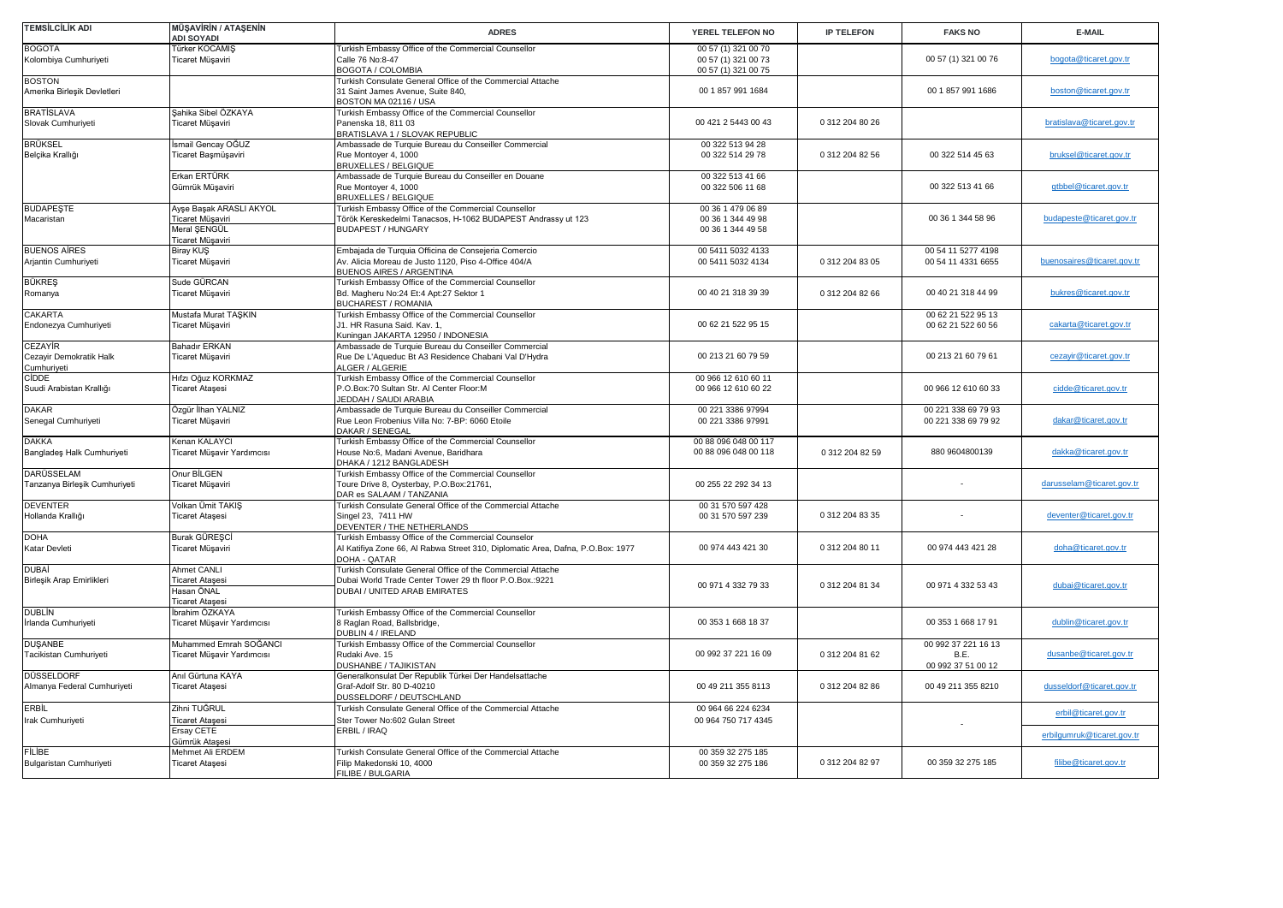| <b>TEMSİLCİLİK ADI</b>                            | <b>MÜSAVİRİN / ATAŞENİN</b><br><b>ADI SOYADI</b>                                | <b>ADRES</b>                                                                                                                                           | YEREL TELEFON NO                                                  | <b>IP TELEFON</b> | <b>FAKS NO</b>                                         | E-MAIL                     |
|---------------------------------------------------|---------------------------------------------------------------------------------|--------------------------------------------------------------------------------------------------------------------------------------------------------|-------------------------------------------------------------------|-------------------|--------------------------------------------------------|----------------------------|
| <b>BOGOTA</b><br>Kolombiya Cumhuriyeti            | Türker KOCAMIŞ<br>Ticaret Müşaviri                                              | Turkish Embassy Office of the Commercial Counsellor<br>Calle 76 No:8-47<br><b>BOGOTA / COLOMBIA</b>                                                    | 00 57 (1) 321 00 70<br>00 57 (1) 321 00 73<br>00 57 (1) 321 00 75 |                   | 00 57 (1) 321 00 76                                    | bogota@ticaret.gov.tr      |
| <b>BOSTON</b><br>Amerika Birleşik Devletleri      |                                                                                 | Turkish Consulate General Office of the Commercial Attache<br>31 Saint James Avenue, Suite 840,<br>BOSTON MA 02116 / USA                               | 00 1 857 991 1684                                                 |                   | 00 1 857 991 1686                                      | boston@ticaret.gov.tr      |
| <b>BRATISLAVA</b><br>Slovak Cumhuriyeti           | Şahika Sibel ÖZKAYA<br>Ticaret Müşaviri                                         | Turkish Embassy Office of the Commercial Counsellor<br>Panenska 18, 811 03<br>BRATISLAVA 1 / SLOVAK REPUBLIC                                           | 00 421 2 5443 00 43                                               | 0 312 204 80 26   |                                                        | bratislava@ticaret.gov.tr  |
| <b>BRÜKSEL</b><br>Belçika Krallığı                | İsmail Gencay OĞUZ<br>Ticaret Başmüşaviri                                       | Ambassade de Turquie Bureau du Conseiller Commercial<br>Rue Montoyer 4, 1000<br>BRUXELLES / BELGIQUE                                                   | 00 322 513 94 28<br>00 322 514 29 78                              | 0 312 204 82 56   | 00 322 514 45 63                                       | bruksel@ticaret.gov.tr     |
|                                                   | Erkan ERTÜRK<br>Gümrük Müşaviri                                                 | Ambassade de Turquie Bureau du Conseiller en Douane<br>Rue Montoyer 4, 1000<br><b>BRUXELLES / BELGIQUE</b>                                             | 00 322 513 41 66<br>00 322 506 11 68                              |                   | 00 322 513 41 66                                       | qtbbel@ticaret.gov.tr      |
| <b>BUDAPEŞTE</b><br>Macaristan                    | Ayşe Başak ARASLI AKYOL<br>Ticaret Müşaviri<br>Meral SENGÜL<br>Ticaret Müşaviri | Turkish Embassy Office of the Commercial Counsellor<br>Török Kereskedelmi Tanacsos, H-1062 BUDAPEST Andrassy ut 123<br><b>BUDAPEST / HUNGARY</b>       | 00 36 1 479 06 89<br>00 36 1 344 49 98<br>00 36 1 344 49 58       |                   | 00 36 1 344 58 96                                      | budapeste@ticaret.gov.tr   |
| <b>BUENOS AIRES</b><br>Arjantin Cumhuriyeti       | Biray KUŞ<br>Ticaret Müşaviri                                                   | Embajada de Turquia Officina de Consejeria Comercio<br>Av. Alicia Moreau de Justo 1120, Piso 4-Office 404/A<br><b>BUENOS AIRES / ARGENTINA</b>         | 00 5411 5032 4133<br>00 5411 5032 4134                            | 0 312 204 83 05   | 00 54 11 5277 4198<br>00 54 11 4331 6655               | buenosaires@ticaret.gov.tr |
| <b>BÜKRES</b><br>Romanya                          | Sude GÜRCAN<br>Ticaret Müşaviri                                                 | Turkish Embassy Office of the Commercial Counsellor<br>Bd. Magheru No:24 Et:4 Apt:27 Sektor 1<br><b>BUCHAREST / ROMANIA</b>                            | 00 40 21 318 39 39                                                | 0 312 204 82 66   | 00 40 21 318 44 99                                     | bukres@ticaret.gov.tr      |
| CAKARTA<br>Endonezya Cumhuriyeti                  | Mustafa Murat TAŞKIN<br>Ticaret Müşaviri                                        | Turkish Embassy Office of the Commercial Counsellor<br>J1. HR Rasuna Said. Kav. 1,<br>Kuningan JAKARTA 12950 / INDONESIA                               | 00 62 21 522 95 15                                                |                   | 00 62 21 522 95 13<br>00 62 21 522 60 56               | cakarta@ticaret.gov.tr     |
| CEZAYİR<br>Cezayir Demokratik Halk<br>Cumhuriyeti | <b>Bahadır ERKAN</b><br>Ticaret Müşaviri                                        | Ambassade de Turquie Bureau du Conseiller Commercial<br>Rue De L'Aqueduc Bt A3 Residence Chabani Val D'Hydra<br>ALGER / ALGERIE                        | 00 213 21 60 79 59                                                |                   | 00 213 21 60 79 61                                     | cezayir@ticaret.gov.tr     |
| <b>CIDDE</b><br>Suudi Arabistan Krallığı          | Hıfzı Oğuz KORKMAZ<br><b>Ticaret Ataşesi</b>                                    | Turkish Embassy Office of the Commercial Counsellor<br>P.O.Box:70 Sultan Str. Al Center Floor:M<br>JEDDAH / SAUDI ARABIA                               | 00 966 12 610 60 11<br>00 966 12 610 60 22                        |                   | 00 966 12 610 60 33                                    | cidde@ticaret.gov.tr       |
| <b>DAKAR</b><br>Senegal Cumhuriyeti               | Özgür İlhan YALNIZ<br>Ticaret Müşaviri                                          | Ambassade de Turquie Bureau du Conseiller Commercial<br>Rue Leon Frobenius Villa No: 7-BP: 6060 Etoile<br>DAKAR / SENEGAL                              | 00 221 3386 97994<br>00 221 3386 97991                            |                   | 00 221 338 69 79 93<br>00 221 338 69 79 92             | dakar@ticaret.gov.tr       |
| <b>DAKKA</b><br>Bangladeş Halk Cumhuriyeti        | Kenan KALAYCI<br>Ticaret Müşavir Yardımcısı                                     | Turkish Embassy Office of the Commercial Counsellor<br>House No:6, Madani Avenue, Baridhara<br>DHAKA / 1212 BANGLADESH                                 | 00 88 096 048 00 117<br>00 88 096 048 00 118                      | 0 312 204 82 59   | 880 9604800139                                         | dakka@ticaret.gov.tr       |
| DARÜSSELAM<br>Tanzanya Birleşik Cumhuriyeti       | Onur BİLGEN<br>Ticaret Müşaviri                                                 | Turkish Embassy Office of the Commercial Counsellor<br>Toure Drive 8, Oysterbay, P.O.Box:21761,<br>DAR es SALAAM / TANZANIA                            | 00 255 22 292 34 13                                               |                   |                                                        | darusselam@ticaret.gov.tr  |
| <b>DEVENTER</b><br>Hollanda Krallığı              | Volkan Ümit TAKIŞ<br>Ticaret Ataşesi                                            | Turkish Consulate General Office of the Commercial Attache<br>Singel 23, 7411 HW<br>DEVENTER / THE NETHERLANDS                                         | 00 31 570 597 428<br>00 31 570 597 239                            | 0 312 204 83 35   |                                                        | deventer@ticaret.gov.tr    |
| <b>DOHA</b><br>Katar Devleti                      | Burak GÜRESCİ<br>Ticaret Müşaviri                                               | Turkish Embassy Office of the Commercial Counselor<br>Al Katifiya Zone 66, Al Rabwa Street 310, Diplomatic Area, Dafna, P.O.Box: 1977<br>DOHA - QATAR  | 00 974 443 421 30                                                 | 0 312 204 80 11   | 00 974 443 421 28                                      | doha@ticaret.gov.tr        |
| DUBAİ<br>Birleşik Arap Emirlikleri                | Ahmet CANLI<br><b>Ticaret Ataşesi</b><br>Hasan ÖNAL<br><b>Ticaret Ataşesi</b>   | Turkish Consulate General Office of the Commercial Attache<br>Dubai World Trade Center Tower 29 th floor P.O.Box.:9221<br>DUBAI / UNITED ARAB EMIRATES | 00 971 4 332 79 33                                                | 0 312 204 81 34   | 00 971 4 332 53 43                                     | dubai@ticaret.gov.tr       |
| <b>DUBLIN</b><br>İrlanda Cumhuriyeti              | İbrahim ÖZKAYA<br>Ticaret Müşavir Yardımcısı                                    | Turkish Embassy Office of the Commercial Counsellor<br>8 Raglan Road, Ballsbridge,<br>DUBLIN 4 / IRELAND                                               | 00 353 1 668 18 37                                                |                   | 00 353 1 668 17 91                                     | dublin@ticaret.gov.tr      |
| <b>DUŞANBE</b><br>Tacikistan Cumhuriyeti          | Muhammed Emrah SOĞANCI<br>Ticaret Müşavir Yardımcısı                            | Turkish Embassy Office of the Commercial Counsellor<br>Rudaki Ave. 15<br>DUSHANBE / TAJIKISTAN                                                         | 00 992 37 221 16 09                                               | 0 312 204 81 62   | 00 992 37 221 16 13<br><b>BF</b><br>00 992 37 51 00 12 | dusanbe@ticaret.gov.tr     |
| DÜSSELDORF<br>Almanya Federal Cumhuriyeti         | Anıl Gürtuna KAYA<br>Ticaret Ataşesi                                            | Generalkonsulat Der Republik Türkei Der Handelsattache<br>Graf-Adolf Str. 80 D-40210<br>DUSSELDORF / DEUTSCHLAND                                       | 00 49 211 355 8113                                                | 0 312 204 82 86   | 00 49 211 355 8210                                     | dusseldorf@ticaret.gov.tr  |
| <b>ERBİL</b><br>Irak Cumhuriyeti                  | Zihni TUĞRUL<br>Ticaret Ataşesi                                                 | Turkish Consulate General Office of the Commercial Attache<br>Ster Tower No:602 Gulan Street                                                           | 00 964 66 224 6234<br>00 964 750 717 4345                         |                   |                                                        | erbil@ticaret.gov.tr       |
|                                                   | Ersay CETE<br>Gümrük Ataşesi                                                    | ERBIL / IRAQ                                                                                                                                           |                                                                   |                   |                                                        | erbilgumruk@ticaret.gov.tr |
| <b>FİLİBE</b><br>Bulgaristan Cumhuriyeti          | Mehmet Ali ERDEM<br><b>Ticaret Ataşesi</b>                                      | Turkish Consulate General Office of the Commercial Attache<br>Filip Makedonski 10, 4000<br>FILIBE / BULGARIA                                           | 00 359 32 275 185<br>00 359 32 275 186                            | 0 312 204 82 97   | 00 359 32 275 185                                      | filibe@ticaret.gov.tr      |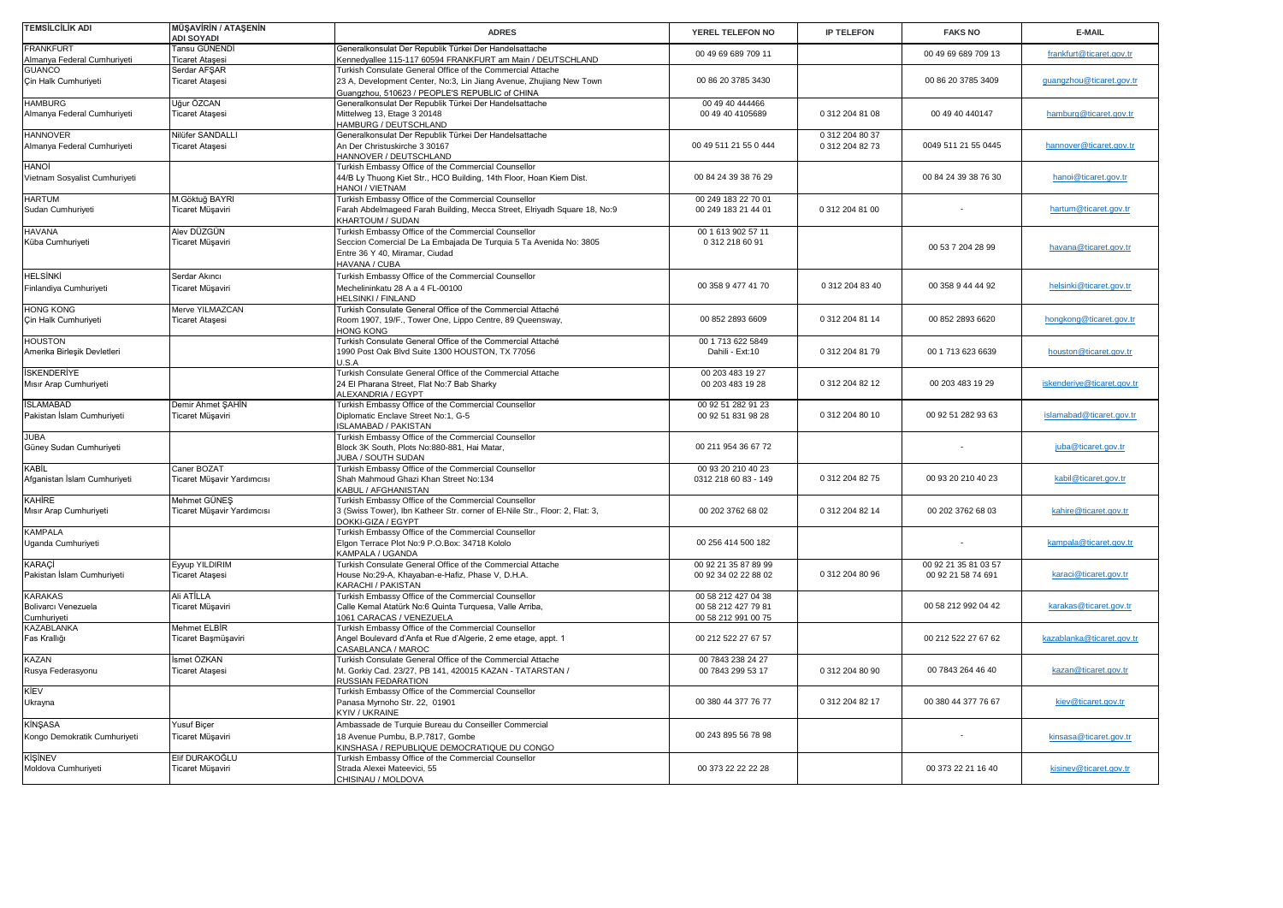| <b>TEMSİLCİLİK ADI</b>                               | <b>MÜŞAVİRİN / ATAŞENİN</b><br><b>ADI SOYADI</b> | <b>ADRES</b>                                                                                                                                                                              | YEREL TELEFON NO                                                  | <b>IP TELEFON</b>                  | <b>FAKS NO</b>                             | E-MAIL                     |
|------------------------------------------------------|--------------------------------------------------|-------------------------------------------------------------------------------------------------------------------------------------------------------------------------------------------|-------------------------------------------------------------------|------------------------------------|--------------------------------------------|----------------------------|
| <b>FRANKFURT</b><br>Almanya Federal Cumhuriyeti      | Tansu GÜNENDİ<br><b>Ticaret Ataşesi</b>          | Generalkonsulat Der Republik Türkei Der Handelsattache<br>Kennedyallee 115-117 60594 FRANKFURT am Main / DEUTSCHLAND                                                                      | 00 49 69 689 709 11                                               |                                    | 00 49 69 689 709 13                        | frankfurt@ticaret.gov.tr   |
| <b>GUANCO</b><br>Çin Halk Cumhuriyeti                | Serdar AFSAR<br>Ticaret Ataşesi                  | Turkish Consulate General Office of the Commercial Attache<br>23 A, Development Center, No:3, Lin Jiang Avenue, Zhujiang New Town<br>Guangzhou, 510623 / PEOPLE'S REPUBLIC of CHINA       | 00 86 20 3785 3430                                                |                                    | 00 86 20 3785 3409                         | guangzhou@ticaret.gov.tr   |
| <b>HAMBURG</b><br>Almanya Federal Cumhuriyeti        | Uğur ÖZCAN<br><b>Ticaret Ataşesi</b>             | Generalkonsulat Der Republik Türkei Der Handelsattache<br>Mittelweg 13, Etage 3 20148<br>HAMBURG / DEUTSCHLAND                                                                            | 00 49 40 444466<br>00 49 40 4105689                               | 0 312 204 81 08                    | 00 49 40 440147                            | hamburg@ticaret.gov.tr     |
| <b>HANNOVER</b><br>Almanya Federal Cumhuriyeti       | Nilüfer SANDALLI<br><b>Ticaret Ataşesi</b>       | Generalkonsulat Der Republik Türkei Der Handelsattache<br>An Der Christuskirche 3 30167<br>HANNOVER / DEUTSCHLAND                                                                         | 00 49 511 21 55 0 444                                             | 0 312 204 80 37<br>0 312 204 82 73 | 0049 511 21 55 0445                        | hannover@ticaret.gov.tr    |
| <b>HANOI</b><br>Vietnam Sosyalist Cumhuriyeti        |                                                  | Turkish Embassy Office of the Commercial Counsellor<br>44/B Ly Thuong Kiet Str., HCO Building, 14th Floor, Hoan Kiem Dist.<br>HANOI / VIETNAM                                             | 00 84 24 39 38 76 29                                              |                                    | 00 84 24 39 38 76 30                       | hanoi@ticaret.gov.tr       |
| <b>HARTUM</b><br>Sudan Cumhuriyeti                   | M.Göktuğ BAYRI<br>Ticaret Müşaviri               | Turkish Embassy Office of the Commercial Counsellor<br>Farah Abdelmageed Farah Building, Mecca Street, Elriyadh Square 18, No:9<br><b>KHARTOUM / SUDAN</b>                                | 00 249 183 22 70 01<br>00 249 183 21 44 01                        | 0 312 204 81 00                    |                                            | hartum@ticaret.gov.tr      |
| <b>HAVANA</b><br>Küba Cumhuriyeti                    | Alev DÜZGÜN<br>Ticaret Müşaviri                  | <b>Turkish Embassy Office of the Commercial Counsellor</b><br>Seccion Comercial De La Embajada De Turquia 5 Ta Avenida No: 3805<br>Entre 36 Y 40. Miramar, Ciudad<br><b>HAVANA / CUBA</b> | 00 1 613 902 57 11<br>0 312 218 60 91                             |                                    | 00 53 7 204 28 99                          | havana@ticaret.gov.tr      |
| <b>HELSİNKİ</b><br>Finlandiya Cumhuriyeti            | Serdar Akıncı<br>Ticaret Müşaviri                | Turkish Embassy Office of the Commercial Counsellor<br>Mechelininkatu 28 A a 4 FL-00100<br><b>IELSINKI / FINLAND</b>                                                                      | 00 358 9 477 41 70                                                | 0 312 204 83 40                    | 00 358 9 44 44 92                          | helsinki@ticaret.gov.tr    |
| <b>HONG KONG</b><br>Çin Halk Cumhuriyeti             | Merve YILMAZCAN<br>Ticaret Ataşesi               | Turkish Consulate General Office of the Commercial Attaché<br>Room 1907, 19/F., Tower One, Lippo Centre, 89 Queensway,<br>HONG KONG                                                       | 00 852 2893 6609                                                  | 0 312 204 81 14                    | 00 852 2893 6620                           | hongkong@ticaret.gov.tr    |
| <b>HOUSTON</b><br>Amerika Birleşik Devletleri        |                                                  | Turkish Consulate General Office of the Commercial Attaché<br>1990 Post Oak Blvd Suite 1300 HOUSTON, TX 77056<br>J.S.A                                                                    | 00 1 713 622 5849<br>Dahili - Ext:10                              | 0 312 204 81 79                    | 00 1 713 623 6639                          | houston@ticaret.gov.tr     |
| <b>İSKENDERİYE</b><br>Mısır Arap Cumhuriyeti         |                                                  | Turkish Consulate General Office of the Commercial Attache<br>24 El Pharana Street, Flat No:7 Bab Sharky<br><b>LEXANDRIA / EGYPT</b>                                                      | 00 203 483 19 27<br>00 203 483 19 28                              | 0 312 204 82 12                    | 00 203 483 19 29                           | iskenderiye@ticaret.gov.tr |
| <b>İSLAMABAD</b><br>Pakistan İslam Cumhuriyeti       | Demir Ahmet ŞAHİN<br>Ticaret Müşaviri            | Turkish Embassy Office of the Commercial Counsellor<br>Diplomatic Enclave Street No:1, G-5<br>SLAMABAD / PAKISTAN                                                                         | 00 92 51 282 91 23<br>00 92 51 831 98 28                          | 0 312 204 80 10                    | 00 92 51 282 93 63                         | islamabad@ticaret.gov.tr   |
| <b>JUBA</b><br>Güney Sudan Cumhuriyeti               |                                                  | Turkish Embassy Office of the Commercial Counsellor<br>Block 3K South, Plots No:880-881, Hai Matar,<br><b>JUBA / SOUTH SUDAN</b>                                                          | 00 211 954 36 67 72                                               |                                    |                                            | juba@ticaret.gov.tr        |
| KABİL<br>Afganistan İslam Cumhuriyeti                | Caner BOZAT<br>Ticaret Müşavir Yardımcısı        | Turkish Embassy Office of the Commercial Counsellor<br>Shah Mahmoud Ghazi Khan Street No:134<br><b>KABUL / AFGHANISTAN</b>                                                                | 00 93 20 210 40 23<br>0312 218 60 83 - 149                        | 0 312 204 82 75                    | 00 93 20 210 40 23                         | kabil@ticaret.gov.tr       |
| <b>KAHİRE</b><br>Mısır Arap Cumhuriyeti              | Mehmet GÜNEŞ<br>Ticaret Müşavir Yardımcısı       | Turkish Embassy Office of the Commercial Counsellor<br>3 (Swiss Tower), Ibn Katheer Str. corner of El-Nile Str., Floor: 2, Flat: 3,<br>DOKKI-GIZA / EGYPT                                 | 00 202 3762 68 02                                                 | 0 312 204 82 14                    | 00 202 3762 68 03                          | kahire@ticaret.gov.tr      |
| <b>KAMPALA</b><br>Uganda Cumhuriyeti                 |                                                  | Turkish Embassy Office of the Commercial Counsellor<br>Elgon Terrace Plot No:9 P.O.Box: 34718 Kololo<br><b>KAMPALA / UGANDA</b>                                                           | 00 256 414 500 182                                                |                                    |                                            | kampala@ticaret.gov.tr     |
| <b>KARACİ</b><br>Pakistan İslam Cumhuriyeti          | Eyyup YILDIRIM<br>Ticaret Ataşesi                | Turkish Consulate General Office of the Commercial Attache<br>House No:29-A, Khayaban-e-Hafiz, Phase V, D.H.A.<br>KARACHI / PAKISTAN                                                      | 00 92 21 35 87 89 99<br>00 92 34 02 22 88 02                      | 0 312 204 80 96                    | 00 92 21 35 81 03 57<br>00 92 21 58 74 691 | karaci@ticaret.gov.tr      |
| <b>KARAKAS</b><br>Bolivarcı Venezuela<br>Cumhuriyeti | Ali ATİLLA<br>Ticaret Müşaviri                   | Turkish Embassy Office of the Commercial Counsellor<br>Calle Kemal Atatürk No:6 Quinta Turquesa, Valle Arriba,<br>061 CARACAS / VENEZUELA                                                 | 00 58 212 427 04 38<br>00 58 212 427 79 81<br>00 58 212 991 00 75 |                                    | 00 58 212 992 04 42                        | karakas@ticaret.gov.tr     |
| KAZABLANKA<br>Fas Krallığı                           | Mehmet ELBİR<br>Ticaret Başmüşaviri              | Turkish Embassy Office of the Commercial Counsellor<br>Angel Boulevard d'Anfa et Rue d'Algerie, 2 eme etage, appt. 1<br>CASABLANCA / MAROC                                                | 00 212 522 27 67 57                                               |                                    | 00 212 522 27 67 62                        | kazablanka@ticaret.gov.tr  |
| KAZAN<br>Rusya Federasyonu                           | smet ÖZKAN<br><b>Ticaret Ataşesi</b>             | Turkish Consulate General Office of the Commercial Attache<br>M. Gorkiy Cad. 23/27, PB 141, 420015 KAZAN - TATARSTAN /<br>RUSSIAN FEDARATION                                              | 00 7843 238 24 27<br>00 7843 299 53 17                            | 0 312 204 80 90                    | 00 7843 264 46 40                          | kazan@ticaret.gov.tr       |
| KİEV<br>Ukrayna                                      |                                                  | <b>Turkish Embassy Office of the Commercial Counsellor</b><br>Panasa Myrnoho Str. 22, 01901<br><b>YIV / UKRAINE</b>                                                                       | 00 380 44 377 76 77                                               | 0 312 204 82 17                    | 00 380 44 377 76 67                        | kiev@ticaret.gov.tr        |
| KİNŞASA<br>Kongo Demokratik Cumhuriyeti              | Yusuf Biçer<br>Ticaret Müşaviri                  | Ambassade de Turquie Bureau du Conseiller Commercial<br>18 Avenue Pumbu, B.P.7817, Gombe<br>(INSHASA / REPUBLIQUE DEMOCRATIQUE DU CONGO                                                   | 00 243 895 56 78 98                                               |                                    |                                            | kinsasa@ticaret.gov.tr     |
| KİŞİNEV<br>Moldova Cumhuriyeti                       | Elif DURAKOĞLU<br>Ticaret Müşaviri               | <b>Turkish Embassy Office of the Commercial Counsellor</b><br>Strada Alexei Mateevici, 55<br>CHISINAU / MOLDOVA                                                                           | 00 373 22 22 22 28                                                |                                    | 00 373 22 21 16 40                         | kisinev@ticaret.gov.tr     |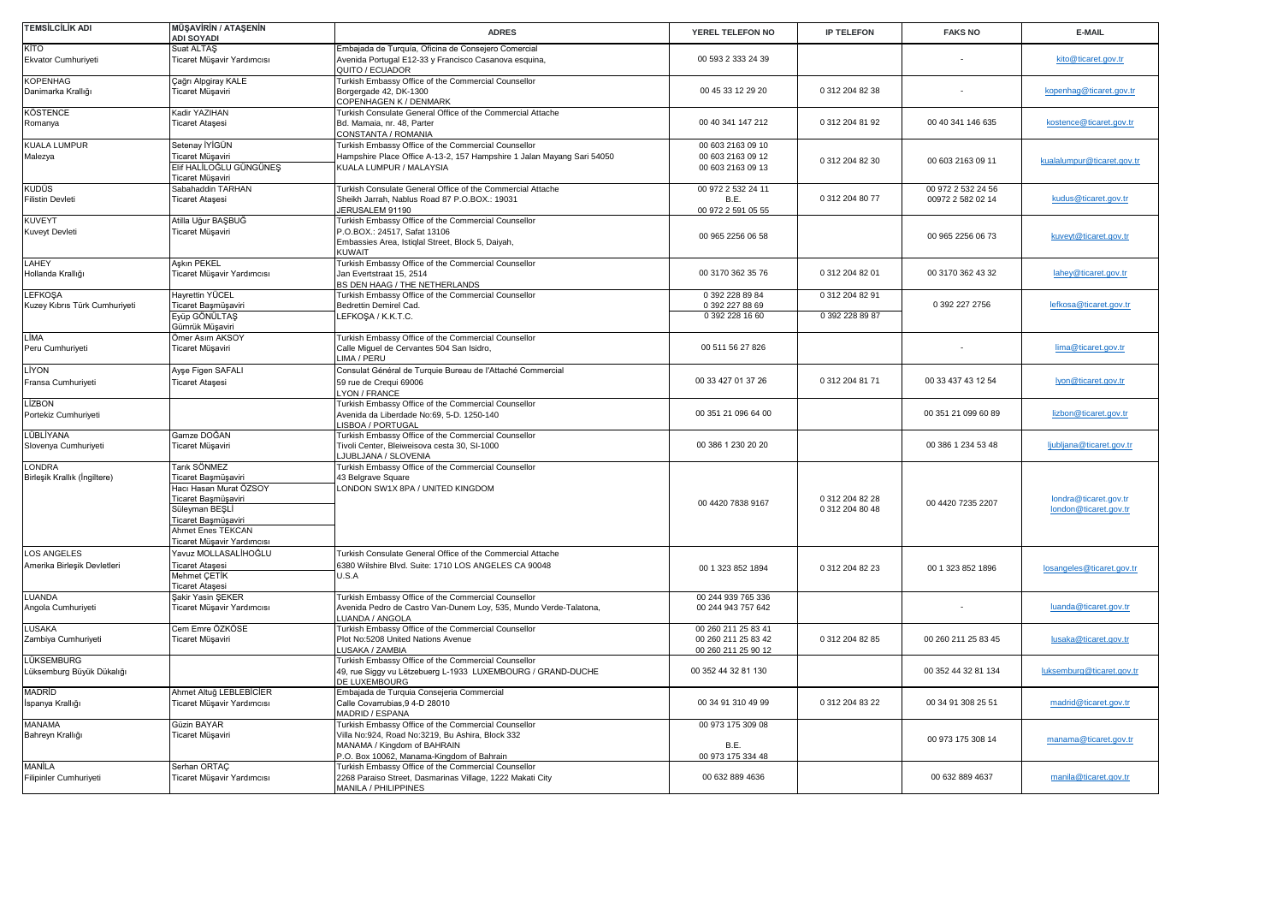| TEMSİLCİLİK ADI                                 | <b>MÜŞAVİRİN / ATAŞENİN</b><br><b>ADI SOYADI</b>                                                                                                                                 | <b>ADRES</b>                                                                                                                                                                        | YEREL TELEFON NO                                                  | <b>IP TELEFON</b>                  | <b>FAKS NO</b>                          | E-MAIL                                         |
|-------------------------------------------------|----------------------------------------------------------------------------------------------------------------------------------------------------------------------------------|-------------------------------------------------------------------------------------------------------------------------------------------------------------------------------------|-------------------------------------------------------------------|------------------------------------|-----------------------------------------|------------------------------------------------|
| KİTO<br>Ekvator Cumhuriyeti                     | Suat ALTAŞ<br>Ticaret Müşavir Yardımcısı                                                                                                                                         | Embajada de Turquía, Oficina de Consejero Comercial<br>Avenida Portugal E12-33 y Francisco Casanova esquina,<br>QUITO / ECUADOR                                                     | 00 593 2 333 24 39                                                |                                    |                                         | kito@ticaret.gov.tr                            |
| <b>KOPENHAG</b><br>Danimarka Krallığı           | Çağrı Alpgiray KALE<br>Ticaret Müşaviri                                                                                                                                          | Turkish Embassy Office of the Commercial Counsellor<br>Borgergade 42, DK-1300<br>COPENHAGEN K / DENMARK                                                                             | 00 45 33 12 29 20                                                 | 0 312 204 82 38                    |                                         | kopenhag@ticaret.gov.tr                        |
| <b>KÖSTENCE</b><br>Romanya                      | Kadir YAZIHAN<br><b>Ticaret Ataşesi</b>                                                                                                                                          | Turkish Consulate General Office of the Commercial Attache<br>Bd. Mamaia, nr. 48, Parter<br>CONSTANTA / ROMANIA                                                                     | 00 40 341 147 212                                                 | 0 312 204 81 92                    | 00 40 341 146 635                       | kostence@ticaret.gov.tr                        |
| KUALA LUMPUR<br>Malezya                         | Setenay İYİGÜN<br><b>Ficaret Müşaviri</b><br>Elif HALİLOĞLU GÜNGÜNEŞ<br>Ticaret Müşaviri                                                                                         | Turkish Embassy Office of the Commercial Counsellor<br>Hampshire Place Office A-13-2, 157 Hampshire 1 Jalan Mayang Sari 54050<br>KUALA LUMPUR / MALAYSIA                            | 00 603 2163 09 10<br>00 603 2163 09 12<br>00 603 2163 09 13       | 0 312 204 82 30                    | 00 603 2163 09 11                       | kualalumpur@ticaret.gov.tr                     |
| KUDÜS<br>Filistin Devleti                       | Sabahaddin TARHAN<br><b>Ticaret Ataşesi</b>                                                                                                                                      | Turkish Consulate General Office of the Commercial Attache<br>Sheikh Jarrah, Nablus Road 87 P.O.BOX.: 19031<br>JERUSALEM 91190                                                      | 00 972 2 532 24 11<br>B.E.<br>00 972 2 591 05 55                  | 0 312 204 80 77                    | 00 972 2 532 24 56<br>00972 2 582 02 14 | kudus@ticaret.gov.tr                           |
| <b>KUVEYT</b><br>Kuveyt Devleti                 | Atilla Uğur BAŞBUĞ<br>Ticaret Müşaviri                                                                                                                                           | Turkish Embassy Office of the Commercial Counsellor<br>P.O.BOX.: 24517, Safat 13106<br>Embassies Area, Istiqlal Street, Block 5, Daiyah,<br>KUWAIT                                  | 00 965 2256 06 58                                                 |                                    | 00 965 2256 06 73                       | kuveyt@ticaret.gov.tr                          |
| LAHEY<br>Hollanda Krallığı                      | Askın PEKEL<br>Ticaret Müşavir Yardımcısı                                                                                                                                        | Turkish Embassy Office of the Commercial Counsellor<br>Jan Evertstraat 15, 2514<br>BS DEN HAAG / THE NETHERLANDS                                                                    | 00 3170 362 35 76                                                 | 0 312 204 82 01                    | 00 3170 362 43 32                       | lahey@ticaret.gov.tr                           |
| <b>LEFKOSA</b><br>Kuzey Kıbrıs Türk Cumhuriyeti | Hayrettin YÜCEL<br>Ticaret Başmüşaviri<br>Eyüp GÖNÜLTAS<br>Gümrük Müşaviri                                                                                                       | Turkish Embassy Office of the Commercial Counsellor<br>Bedrettin Demirel Cad.<br>LEFKOSA / K.K.T.C.                                                                                 | 0 392 228 89 84<br>0 392 227 88 69<br>0 392 228 16 60             | 0 312 204 82 91<br>0 392 228 89 87 | 0 392 227 2756                          | lefkosa@ticaret.gov.tr                         |
| LİMA<br>Peru Cumhuriyeti                        | Ömer Asım AKSOY<br>Ticaret Müşaviri                                                                                                                                              | Turkish Embassy Office of the Commercial Counsellor<br>Calle Miguel de Cervantes 504 San Isidro,<br>LIMA / PERU                                                                     | 00 511 56 27 826                                                  |                                    |                                         | lima@ticaret.gov.tr                            |
| LİYON<br>Fransa Cumhuriyeti                     | Ayşe Figen SAFALI<br><b>Ticaret Ataşesi</b>                                                                                                                                      | Consulat Général de Turquie Bureau de l'Attaché Commercial<br>59 rue de Crequi 69006<br>YON / FRANCE                                                                                | 00 33 427 01 37 26                                                | 0 312 204 81 71                    | 00 33 437 43 12 54                      | lyon@ticaret.gov.tr                            |
| LİZBON<br>Portekiz Cumhuriyeti                  |                                                                                                                                                                                  | Turkish Embassy Office of the Commercial Counsellor<br>Avenida da Liberdade No:69, 5-D. 1250-140<br><b>ISBOA / PORTUGAL</b>                                                         | 00 351 21 096 64 00                                               |                                    | 00 351 21 099 60 89                     | lizbon@ticaret.gov.tr                          |
| LÜBLİYANA<br>Slovenya Cumhuriyeti               | Gamze DOĞAN<br>Ticaret Müşaviri                                                                                                                                                  | Turkish Embassy Office of the Commercial Counsellor<br>Tivoli Center, Bleiweisova cesta 30, SI-1000<br>JUBLJANA / SLOVENIA                                                          | 00 386 1 230 20 20                                                |                                    | 00 386 1 234 53 48                      | ljubljana@ticaret.gov.tr                       |
| LONDRA<br>Birleşik Krallık (İngiltere)          | Tarık SÖNMEZ<br>Ticaret Başmüşaviri<br>Hacı Hasan Murat ÖZSOY<br>Ticaret Başmüşaviri<br>Süleyman BEŞLİ<br>Ticaret Başmüşaviri<br>Ahmet Enes TEKCAN<br>Ticaret Müşavir Yardımcısı | Turkish Embassy Office of the Commercial Counsellor<br>43 Belgrave Square<br>LONDON SW1X 8PA / UNITED KINGDOM                                                                       | 00 4420 7838 9167                                                 | 0 312 204 82 28<br>0 312 204 80 48 | 00 4420 7235 2207                       | londra@ticaret.gov.tr<br>london@ticaret.gov.tr |
| LOS ANGELES<br>Amerika Birleşik Devletleri      | Yavuz MOLLASALİHOĞLU<br><b>Ticaret Ataşesi</b><br>Mehmet CETİK<br><b>Ticaret Ataşesi</b>                                                                                         | Turkish Consulate General Office of the Commercial Attache<br>6380 Wilshire Blvd. Suite: 1710 LOS ANGELES CA 90048<br>U.S.A                                                         | 00 1 323 852 1894                                                 | 0 312 204 82 23                    | 00 1 323 852 1896                       | losangeles@ticaret.gov.tr                      |
| LUANDA<br>Angola Cumhuriyeti                    | Şakir Yasin ŞEKER<br>Ticaret Müşavir Yardımcısı                                                                                                                                  | Turkish Embassy Office of the Commercial Counsellor<br>Avenida Pedro de Castro Van-Dunem Loy, 535, Mundo Verde-Talatona,<br>LUANDA / ANGOLA                                         | 00 244 939 765 336<br>00 244 943 757 642                          |                                    |                                         | luanda@ticaret.gov.tr                          |
| LUSAKA<br>Zambiya Cumhuriyeti                   | Cem Emre ÖZKÖSE<br>Ticaret Müşaviri                                                                                                                                              | Turkish Embassy Office of the Commercial Counsellor<br>Plot No:5208 United Nations Avenue<br>USAKA / ZAMBIA                                                                         | 00 260 211 25 83 41<br>00 260 211 25 83 42<br>00 260 211 25 90 12 | 0 312 204 82 85                    | 00 260 211 25 83 45                     | lusaka@ticaret.gov.tr                          |
| LÜKSEMBURG<br>Lüksemburg Büyük Dükalığı         |                                                                                                                                                                                  | Turkish Embassy Office of the Commercial Counsellor<br>49, rue Siggy vu Lëtzebuerg L-1933 LUXEMBOURG / GRAND-DUCHE<br><b>DE LUXEMBOURG</b>                                          | 00 352 44 32 81 130                                               |                                    | 00 352 44 32 81 134                     | luksemburg@ticaret.gov.tr                      |
| MADRİD<br>İspanya Krallığı                      | Ahmet Altuğ LEBLEBİCİER<br>Ticaret Müşavir Yardımcısı                                                                                                                            | Embajada de Turquia Consejeria Commercial<br>Calle Covarrubias, 94-D 28010<br>MADRID / ESPANA                                                                                       | 00 34 91 310 49 99                                                | 0 312 204 83 22                    | 00 34 91 308 25 51                      | madrid@ticaret.gov.tr                          |
| MANAMA<br>Bahreyn Krallığı                      | Güzin BAYAR<br>Ticaret Müşaviri                                                                                                                                                  | Turkish Embassy Office of the Commercial Counsellor<br>Villa No:924, Road No:3219, Bu Ashira, Block 332<br>MANAMA / Kingdom of BAHRAIN<br>P.O. Box 10062, Manama-Kingdom of Bahrain | 00 973 175 309 08<br>B.E.<br>00 973 175 334 48                    |                                    | 00 973 175 308 14                       | manama@ticaret.gov.tr                          |
| <b>MANİLA</b><br>Filipinler Cumhuriyeti         | Serhan ORTAC<br>Ticaret Müşavir Yardımcısı                                                                                                                                       | Turkish Embassy Office of the Commercial Counsellor<br>2268 Paraiso Street, Dasmarinas Village, 1222 Makati City<br>MANILA / PHILIPPINES                                            | 00 632 889 4636                                                   |                                    | 00 632 889 4637                         | manila@ticaret.gov.tr                          |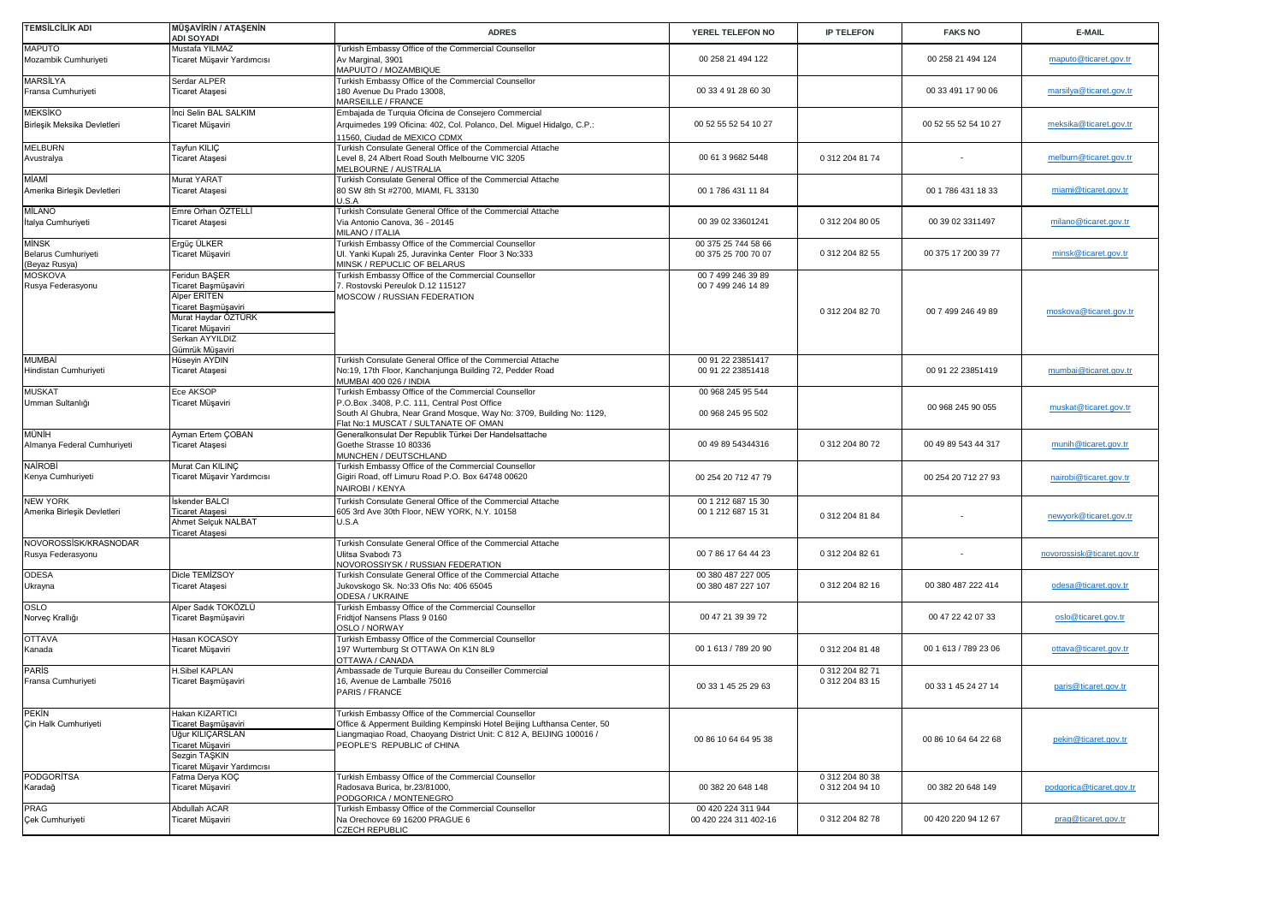| TEMSİLCİLİK ADI                                | <b>MÜŞAVİRİN / ATAŞENİN</b><br><b>ADI SOYADI</b>                                                                                                             | <b>ADRES</b>                                                                                                                                                                                                                         | YEREL TELEFON NO                            | <b>IP TELEFON</b>                  | <b>FAKS NO</b>       | E-MAIL                     |
|------------------------------------------------|--------------------------------------------------------------------------------------------------------------------------------------------------------------|--------------------------------------------------------------------------------------------------------------------------------------------------------------------------------------------------------------------------------------|---------------------------------------------|------------------------------------|----------------------|----------------------------|
| <b>MAPUTO</b><br>Mozambik Cumhuriyeti          | Mustafa YILMAZ<br>Ticaret Müşavir Yardımcısı                                                                                                                 | Turkish Embassy Office of the Commercial Counsellor<br>Av Marginal, 3901<br>MAPUUTO / MOZAMBIQUE                                                                                                                                     | 00 258 21 494 122                           |                                    | 00 258 21 494 124    | maputo@ticaret.gov.tr      |
| MARSİLYA<br>Fransa Cumhuriyeti                 | Serdar ALPER<br><b>Ticaret Ataşesi</b>                                                                                                                       | Turkish Embassy Office of the Commercial Counsellor<br>180 Avenue Du Prado 13008,<br>MARSEILLE / FRANCE                                                                                                                              | 00 33 4 91 28 60 30                         |                                    | 00 33 491 17 90 06   | marsilya@ticaret.gov.tr    |
| <b>MEKSİKO</b><br>Birleşik Meksika Devletleri  | Inci Selin BAL SALKIM<br>Ticaret Müşaviri                                                                                                                    | Embajada de Turquia Oficina de Consejero Commercial<br>Arquimedes 199 Oficina: 402, Col. Polanco, Del. Miguel Hidalgo, C.P.:<br>1560, Ciudad de MEXICO CDMX                                                                          | 00 52 55 52 54 10 27                        |                                    | 00 52 55 52 54 10 27 | meksika@ticaret.gov.tr     |
| <b>MELBURN</b><br>Avustralya                   | Tayfun KILIÇ<br>Ticaret Ataşesi                                                                                                                              | Turkish Consulate General Office of the Commercial Attache<br>Level 8, 24 Albert Road South Melbourne VIC 3205<br>MELBOURNE / AUSTRALIA                                                                                              | 00 61 3 9682 5448                           | 0 312 204 81 74                    |                      | melburn@ticaret.gov.tr     |
| MİAMİ<br>Amerika Birleşik Devletleri           | Murat YARAT<br>Ticaret Ataşesi                                                                                                                               | Turkish Consulate General Office of the Commercial Attache<br>80 SW 8th St #2700, MIAMI, FL 33130<br>U.S.A                                                                                                                           | 00 1 786 431 11 84                          |                                    | 00 1 786 431 18 33   | miami@ticaret.gov.tr       |
| <b>MİLANO</b><br>İtalya Cumhuriyeti            | Emre Orhan ÖZTELLİ<br>Ticaret Ataşesi                                                                                                                        | Turkish Consulate General Office of the Commercial Attache<br>Via Antonio Canova, 36 - 20145<br>MILANO / ITALIA                                                                                                                      | 00 39 02 33601241                           | 0 312 204 80 05                    | 00 39 02 3311497     | milano@ticaret.gov.tr      |
| MİNSK<br>Belarus Cumhuriyeti<br>(Beyaz Rusya)  | Ergüç ÜLKER<br>Ticaret Müşaviri                                                                                                                              | Turkish Embassy Office of the Commercial Counsellor<br>Ul. Yanki Kupalı 25, Juravinka Center Floor 3 No:333<br>MINSK / REPUCLIC OF BELARUS                                                                                           | 00 375 25 744 58 66<br>00 375 25 700 70 07  | 0 312 204 82 55                    | 00 375 17 200 39 77  | minsk@ticaret.gov.tr       |
| <b>MOSKOVA</b><br>Rusya Federasyonu            | Feridun BAŞER<br>Ticaret Başmüşaviri<br>Alper ERİTEN<br>Ticaret Başmüşaviri<br>Murat Haydar ÖZTÜRK<br>Ticaret Müşaviri<br>Serkan AYYILDIZ<br>Gümrük Müşaviri | Turkish Embassy Office of the Commercial Counsellor<br>7. Rostovski Pereulok D.12 115127<br>MOSCOW / RUSSIAN FEDERATION                                                                                                              | 00 7 499 246 39 89<br>00 7 499 246 14 89    | 0 312 204 82 70                    | 00 7 499 246 49 89   | moskova@ticaret.gov.tr     |
| <b>MUMBAİ</b><br>Hindistan Cumhuriyeti         | Hüseyin AYDIN<br>Ticaret Ataşesi                                                                                                                             | Turkish Consulate General Office of the Commercial Attache<br>No:19, 17th Floor, Kanchanjunga Building 72, Pedder Road<br>MUMBAI 400 026 / INDIA                                                                                     | 00 91 22 23851417<br>00 91 22 23851418      |                                    | 00 91 22 23851419    | mumbai@ticaret.gov.tr      |
| <b>MUSKAT</b><br>Umman Sultanlığı              | Ece AKSOP<br>Ticaret Müşaviri                                                                                                                                | Turkish Embassy Office of the Commercial Counsellor<br>P.O.Box .3408, P.C. 111, Central Post Office<br>South Al Ghubra, Near Grand Mosque, Way No: 3709, Building No: 1129,<br>Flat No:1 MUSCAT / SULTANATE OF OMAN                  | 00 968 245 95 544<br>00 968 245 95 502      |                                    | 00 968 245 90 055    | muskat@ticaret.gov.tr      |
| MÜNİH<br>Almanya Federal Cumhuriyeti           | Ayman Ertem COBAN<br><b>Ticaret Ataşesi</b>                                                                                                                  | Generalkonsulat Der Republik Türkei Der Handelsattache<br>Goethe Strasse 10 80336<br>MUNCHEN / DEUTSCHLAND                                                                                                                           | 00 49 89 54344316                           | 0 312 204 80 72                    | 00 49 89 543 44 317  | munih@ticaret.gov.tr       |
| <b>NAİROBİ</b><br>Kenya Cumhuriyeti            | Murat Can KILINC<br>Ticaret Müşavir Yardımcısı                                                                                                               | Turkish Embassy Office of the Commercial Counsellor<br>Gigiri Road, off Limuru Road P.O. Box 64748 00620<br>NAIROBI / KENYA                                                                                                          | 00 254 20 712 47 79                         |                                    | 00 254 20 712 27 93  | nairobi@ticaret.gov.tr     |
| <b>NEW YORK</b><br>Amerika Birleşik Devletleri | skender BALCI<br><b>Ticaret Ataşesi</b><br>Ahmet Selçuk NALBAT<br><b>Ticaret Ataşesi</b>                                                                     | Turkish Consulate General Office of the Commercial Attache<br>605 3rd Ave 30th Floor, NEW YORK, N.Y. 10158<br>U.S.A                                                                                                                  | 00 1 212 687 15 30<br>00 1 212 687 15 31    | 0 312 204 81 84                    |                      | newyork@ticaret.gov.tr     |
| NOVOROSSİSK/KRASNODAR<br>Rusya Federasyonu     |                                                                                                                                                              | Turkish Consulate General Office of the Commercial Attache<br>Ulitsa Svabodı 73<br>NOVOROSSIYSK / RUSSIAN FEDERATION                                                                                                                 | 00 7 86 17 64 44 23                         | 0 312 204 82 61                    |                      | novorossisk@ticaret.gov.tr |
| <b>ODESA</b><br>Ukrayna                        | Dicle TEMİZSOY<br>Ticaret Ataşesi                                                                                                                            | Turkish Consulate General Office of the Commercial Attache<br>Jukovskogo Sk. No:33 Ofis No: 406 65045<br>ODESA / UKRAINE                                                                                                             | 00 380 487 227 005<br>00 380 487 227 107    | 0 312 204 82 16                    | 00 380 487 222 414   | odesa@ticaret.gov.tr       |
| OSLO<br>Norveç Krallığı                        | Alper Sadık TOKÖZLÜ<br>Ticaret Başmüşaviri                                                                                                                   | Turkish Embassy Office of the Commercial Counsellor<br>Fridtjof Nansens Plass 9 0160<br>OSLO / NORWAY                                                                                                                                | 00 47 21 39 39 72                           |                                    | 00 47 22 42 07 33    | oslo@ticaret.gov.tr        |
| <b>OTTAVA</b><br>Kanada                        | Hasan KOCASOY<br>Ticaret Müşaviri                                                                                                                            | Turkish Embassy Office of the Commercial Counsellor<br>197 Wurtemburg St OTTAWA On K1N 8L9<br>OTTAWA / CANADA                                                                                                                        | 00 1 613 / 789 20 90                        | 0 312 204 81 48                    | 00 1 613 / 789 23 06 | ottava@ticaret.gov.tr      |
| <b>PARIS</b><br>Fransa Cumhuriyeti             | H.Sibel KAPLAN<br>Ticaret Başmüşaviri                                                                                                                        | Ambassade de Turquie Bureau du Conseiller Commercial<br>16, Avenue de Lamballe 75016<br>PARIS / FRANCE                                                                                                                               | 00 33 1 45 25 29 63                         | 0 312 204 82 71<br>0 312 204 83 15 | 00 33 1 45 24 27 14  | paris@ticaret.gov.tr       |
| PEKİN<br>Çin Halk Cumhuriyeti                  | Hakan KIZARTICI<br>Ticaret Başmüşaviri<br><b>Uğur KILICARSLAN</b><br>Ticaret Müşaviri<br>Sezgin TAŞKIN<br>Ticaret Müşavir Yardımcısı                         | Turkish Embassy Office of the Commercial Counsellor<br>Office & Apperment Building Kempinski Hotel Beijing Lufthansa Center, 50<br>Liangmaqiao Road, Chaoyang District Unit: C 812 A, BEIJING 100016 /<br>PEOPLE'S REPUBLIC of CHINA | 00 86 10 64 64 95 38                        |                                    | 00 86 10 64 64 22 68 | pekin@ticaret.gov.tr       |
| <b>PODGORITSA</b><br>Karadağ                   | Fatma Derya KOÇ<br>Ticaret Müşaviri                                                                                                                          | Turkish Embassy Office of the Commercial Counsellor<br>Radosava Burica, br.23/81000,<br>PODGORICA / MONTENEGRO                                                                                                                       | 00 382 20 648 148                           | 0 312 204 80 38<br>0 312 204 94 10 | 00 382 20 648 149    | podgorica@ticaret.gov.tr   |
| PRAG<br>Çek Cumhuriyeti                        | Abdullah ACAR<br>Ticaret Müşaviri                                                                                                                            | Turkish Embassy Office of the Commercial Counsellor<br>Na Orechovce 69 16200 PRAGUE 6<br><b>CZECH REPUBLIC</b>                                                                                                                       | 00 420 224 311 944<br>00 420 224 311 402-16 | 0 312 204 82 78                    | 00 420 220 94 12 67  | prag@ticaret.gov.tr        |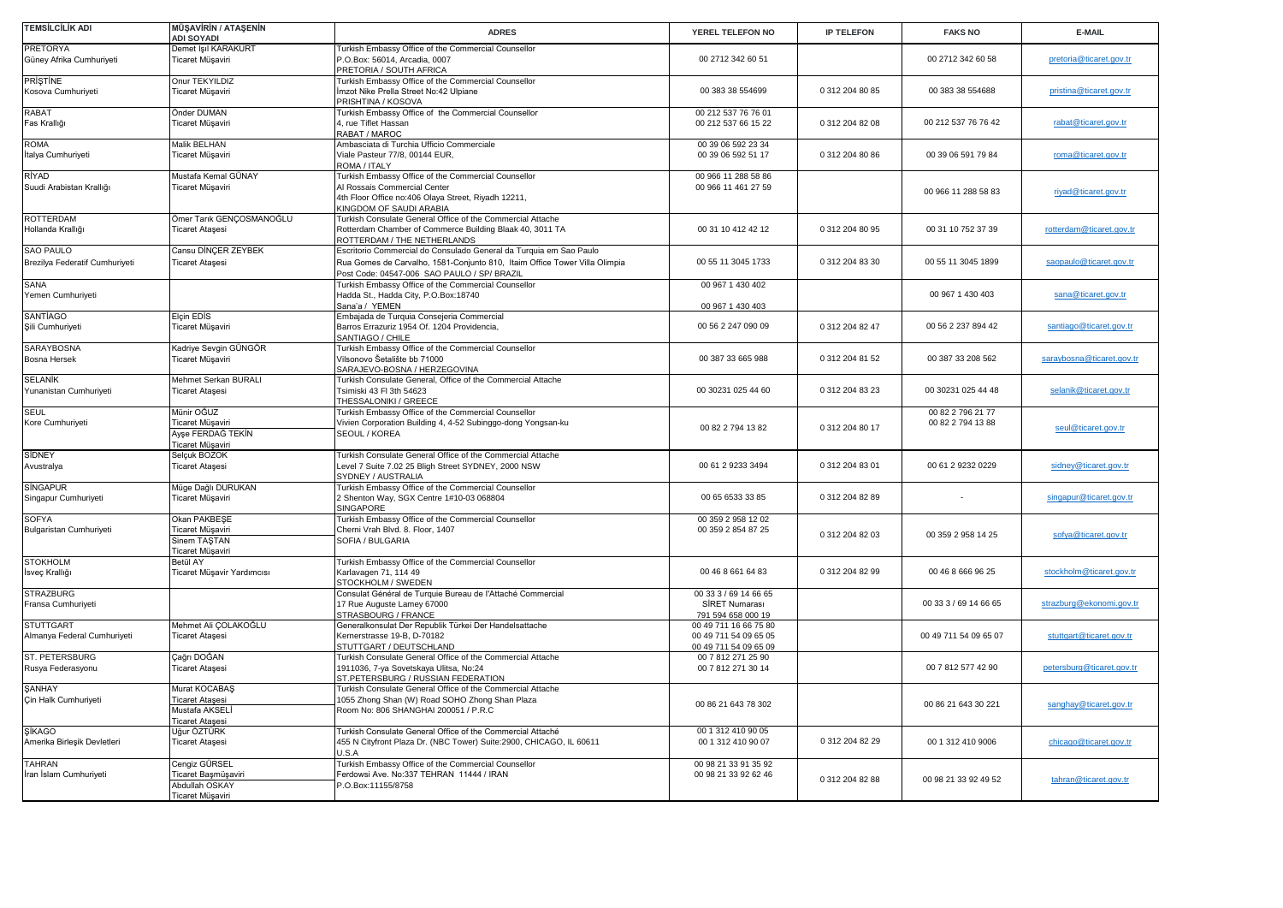| <b>TEMSİLCİLİK ADI</b>         | <b>MÜŞAVİRİN / ATAŞENİN</b><br>ADI SOYADI | <b>ADRES</b>                                                               | YEREL TELEFON NO                     | <b>IP TELEFON</b> | <b>FAKS NO</b>        | E-MAIL                    |
|--------------------------------|-------------------------------------------|----------------------------------------------------------------------------|--------------------------------------|-------------------|-----------------------|---------------------------|
| <b>PRETORYA</b>                | Demet Işıl KARAKURT                       | Turkish Embassy Office of the Commercial Counsellor                        |                                      |                   |                       |                           |
| Güney Afrika Cumhuriyeti       | Ticaret Müşaviri                          | -. O. Box: 56014, Arcadia, 0007<br>PRETORIA / SOUTH AFRICA                 | 00 2712 342 60 51                    |                   | 00 2712 342 60 58     | pretoria@ticaret.gov.tr   |
| <b>PRISTINE</b>                | Onur TEKYILDIZ                            | Turkish Embassy Office of the Commercial Counsellor                        |                                      |                   |                       |                           |
| Kosova Cumhuriyeti             | Ticaret Müşaviri                          | İmzot Nike Prella Street No:42 Ulpiane<br>PRISHTINA / KOSOVA               | 00 383 38 554699                     | 0 312 204 80 85   | 00 383 38 554688      | pristina@ticaret.gov.tr   |
| <b>RABAT</b>                   | Önder DUMAN                               | Turkish Embassy Office of the Commercial Counsellor                        | 00 212 537 76 76 01                  |                   |                       |                           |
| Fas Krallığı                   | Ticaret Müşaviri                          | 4, rue Tiflet Hassan<br>RABAT / MAROC                                      | 00 212 537 66 15 22                  | 0 312 204 82 08   | 00 212 537 76 76 42   | rabat@ticaret.gov.tr      |
| <b>ROMA</b>                    | Malik BELHAN                              | Ambasciata di Turchia Ufficio Commerciale                                  | 00 39 06 592 23 34                   |                   |                       |                           |
| İtalya Cumhuriyeti             | Ticaret Müşaviri                          | Viale Pasteur 77/8, 00144 EUR,<br>ROMA / ITALY                             | 00 39 06 592 51 17                   | 0 312 204 80 86   | 00 39 06 591 79 84    | roma@ticaret.gov.tr       |
| RÍYAD                          | Mustafa Kemal GÜNAY                       | Turkish Embassy Office of the Commercial Counsellor                        | 00 966 11 288 58 86                  |                   |                       |                           |
| Suudi Arabistan Krallığı       | Ticaret Müşaviri                          | Al Rossais Commercial Center                                               | 00 966 11 461 27 59                  |                   |                       |                           |
|                                |                                           | 4th Floor Office no:406 Olaya Street, Riyadh 12211,                        |                                      |                   | 00 966 11 288 58 83   | riyad@ticaret.gov.tr      |
|                                |                                           | KINGDOM OF SAUDI ARABIA                                                    |                                      |                   |                       |                           |
| <b>ROTTERDAM</b>               | Ömer Tarık GENÇOSMANOĞLU                  | Turkish Consulate General Office of the Commercial Attache                 |                                      |                   |                       |                           |
| Hollanda Krallığı              | Ticaret Ataşesi                           | Rotterdam Chamber of Commerce Building Blaak 40, 3011 TA                   | 00 31 10 412 42 12                   | 0 312 204 80 95   | 00 31 10 752 37 39    | rotterdam@ticaret.gov.tr  |
|                                |                                           | ROTTERDAM / THE NETHERLANDS                                                |                                      |                   |                       |                           |
| <b>SAO PAULO</b>               | Cansu DİNÇER ZEYBEK                       | Escritorio Commercial do Consulado General da Turquia em Sao Paulo         |                                      |                   |                       |                           |
|                                |                                           |                                                                            | 00 55 11 3045 1733                   | 0 312 204 83 30   |                       |                           |
| Brezilya Federatif Cumhuriyeti | Ticaret Ataşesi                           | Rua Gomes de Carvalho, 1581-Conjunto 810, Itaim Office Tower Villa Olimpia |                                      |                   | 00 55 11 3045 1899    | saopaulo@ticaret.gov.tr   |
|                                |                                           | Post Code: 04547-006 SAO PAULO / SP/ BRAZIL                                |                                      |                   |                       |                           |
| <b>SANA</b>                    |                                           | Turkish Embassy Office of the Commercial Counsellor                        | 00 967 1 430 402                     |                   |                       |                           |
| Yemen Cumhuriyeti              |                                           | Hadda St., Hadda City, P.O.Box:18740                                       |                                      |                   | 00 967 1 430 403      | sana@ticaret.gov.tr       |
|                                |                                           | Sana'a / YEMEN                                                             | 00 967 1 430 403                     |                   |                       |                           |
| <b>SANTIAGO</b>                | Elçin EDİS                                | Embajada de Turquia Consejeria Commercial                                  |                                      |                   |                       |                           |
| Şili Cumhuriyeti               | Ticaret Müşaviri                          | Barros Errazuriz 1954 Of. 1204 Providencia,                                | 00 56 2 247 090 09                   | 0 312 204 82 47   | 00 56 2 237 894 42    | santiago@ticaret.gov.tr   |
|                                |                                           | SANTIAGO / CHILE                                                           |                                      |                   |                       |                           |
| SARAYBOSNA                     | Kadriye Sevgin GÜNGÖR                     | Turkish Embassy Office of the Commercial Counsellor                        |                                      |                   |                       |                           |
| Bosna Hersek                   | Ticaret Müşaviri                          | Vilsonovo Šetalište bb 71000                                               | 00 387 33 665 988                    | 0 312 204 81 52   | 00 387 33 208 562     | saraybosna@ticaret.gov.tr |
|                                |                                           | SARAJEVO-BOSNA / HERZEGOVINA                                               |                                      |                   |                       |                           |
| <b>SELANİK</b>                 | Mehmet Serkan BURALI                      | Turkish Consulate General, Office of the Commercial Attache                |                                      |                   |                       |                           |
| Yunanistan Cumhuriyeti         | Ticaret Ataşesi                           | Tsimiski 43 Fl 3th 54623                                                   | 00 30231 025 44 60                   | 0 312 204 83 23   | 00 30231 025 44 48    | selanik@ticaret.gov.tr    |
|                                |                                           | THESSALONIKI / GREECE                                                      |                                      |                   |                       |                           |
| <b>SEUL</b>                    | Münir OĞUZ                                | Turkish Embassy Office of the Commercial Counsellor                        |                                      |                   | 00 82 2 796 21 77     |                           |
| Kore Cumhuriyeti               | Ticaret Müşaviri                          | Vivien Corporation Building 4, 4-52 Subinggo-dong Yongsan-ku               |                                      |                   | 00 82 2 794 13 88     |                           |
|                                | Ayşe FERDAĞ TEKİN                         | SEOUL / KOREA                                                              | 00 82 2 794 13 82                    | 0 312 204 80 17   |                       | seul@ticaret.gov.tr       |
|                                | Ticaret Müşaviri                          |                                                                            |                                      |                   |                       |                           |
| <b>SİDNEY</b>                  | Selçuk BOZOK                              | Turkish Consulate General Office of the Commercial Attache                 |                                      |                   |                       |                           |
| Avustralya                     | Ticaret Ataşesi                           | Level 7 Suite 7.02 25 Bligh Street SYDNEY, 2000 NSW                        | 00 61 2 9233 3494                    | 0 312 204 83 01   | 00 61 2 9232 0229     | sidney@ticaret.gov.tr     |
|                                |                                           | SYDNEY / AUSTRALIA                                                         |                                      |                   |                       |                           |
| <b>SİNGAPUR</b>                | Müge Dağlı DURUKAN                        | Turkish Embassy Office of the Commercial Counsellor                        |                                      |                   |                       |                           |
| Singapur Cumhuriyeti           | Ticaret Müşaviri                          | 2 Shenton Way, SGX Centre 1#10-03 068804                                   | 00 65 6533 33 85                     | 0 312 204 82 89   |                       | singapur@ticaret.gov.tr   |
|                                |                                           | SINGAPORE                                                                  |                                      |                   |                       |                           |
| <b>SOFYA</b>                   | Okan PAKBEŞE                              | Turkish Embassy Office of the Commercial Counsellor                        | 00 359 2 958 12 02                   |                   |                       |                           |
| Bulgaristan Cumhuriyeti        | Ticaret Müşaviri                          | Cherni Vrah Blvd. 8. Floor, 1407                                           | 00 359 2 854 87 25                   |                   |                       |                           |
|                                | Sinem TAŞTAN                              | SOFIA / BULGARIA                                                           |                                      | 0 312 204 82 03   | 00 359 2 958 14 25    | sofya@ticaret.gov.tr      |
|                                | Ticaret Müşavir                           |                                                                            |                                      |                   |                       |                           |
| <b>STOKHOLM</b>                | Betül AY                                  | Turkish Embassy Office of the Commercial Counsellor                        |                                      |                   |                       |                           |
|                                |                                           | Karlavagen 71, 114 49                                                      | 00 46 8 661 64 83                    | 0 312 204 82 99   | 00 46 8 666 96 25     | stockholm@ticaret.gov.tr  |
| İsveç Krallığı                 | Ticaret Müşavir Yardımcısı                | STOCKHOLM / SWEDEN                                                         |                                      |                   |                       |                           |
| <b>STRAZBURG</b>               |                                           |                                                                            | 00 33 3 / 69 14 66 65                |                   |                       |                           |
|                                |                                           | Consulat Général de Turquie Bureau de l'Attaché Commercial                 |                                      |                   | 00 33 3 / 69 14 66 65 | strazburg@ekonomi.gov.tr  |
| Fransa Cumhuriyeti             |                                           | 17 Rue Auguste Lamey 67000                                                 | SİRET Numarası<br>791 594 658 000 19 |                   |                       |                           |
|                                |                                           | STRASBOURG / FRANCE                                                        |                                      |                   |                       |                           |
| <b>STUTTGART</b>               | Mehmet Ali ÇOLAKOĞLU                      | Generalkonsulat Der Republik Türkei Der Handelsattache                     | 00 49 711 16 66 75 80                |                   | 00 49 711 54 09 65 07 |                           |
| Almanya Federal Cumhuriyeti    | Ticaret Ataşesi                           | Kernerstrasse 19-B, D-70182                                                | 00 49 711 54 09 65 05                |                   |                       | stuttgart@ticaret.gov.tr  |
|                                |                                           | STUTTGART / DEUTSCHLAND                                                    | 00 49 711 54 09 65 09                |                   |                       |                           |
| ST. PETERSBURG                 | Çağrı DOĞAN                               | Turkish Consulate General Office of the Commercial Attache                 | 00 7 812 271 25 90                   |                   | 00 7 812 577 42 90    |                           |
| Rusya Federasyonu              | Ticaret Ataşesi                           | 1911036, 7-ya Sovetskaya Ulitsa, No:24                                     | 00 7 812 271 30 14                   |                   |                       | petersburg@ticaret.gov.tr |
|                                |                                           | ST.PETERSBURG / RUSSIAN FEDERATION                                         |                                      |                   |                       |                           |
| <b><i>ŞANHAY</i></b>           | Murat KOCABAŞ                             | Turkish Consulate General Office of the Commercial Attache                 |                                      |                   |                       |                           |
| Çin Halk Cumhuriyeti           | <b>Ticaret Ataşesi</b>                    | 055 Zhong Shan (W) Road SOHO Zhong Shan Plaza                              | 00 86 21 643 78 302                  |                   | 00 86 21 643 30 221   | sanghay@ticaret.gov.tr    |
|                                | Mustafa AKSEL                             | Room No: 806 SHANGHAI 200051 / P.R.C                                       |                                      |                   |                       |                           |
|                                | <b>Ticaret Ataşesi</b>                    |                                                                            |                                      |                   |                       |                           |
|                                |                                           | Turkish Consulate General Office of the Commercial Attaché                 | 00 1 312 410 90 05                   |                   |                       |                           |
|                                | Uğur ÖZTÜRK                               |                                                                            |                                      |                   |                       | chicago@ticaret.gov.tr    |
| Amerika Birleşik Devletleri    | Ticaret Ataşesi                           | 455 N Cityfront Plaza Dr. (NBC Tower) Suite:2900, CHICAGO, IL 60611        | 00 1 312 410 90 07                   | 0 312 204 82 29   | 00 1 312 410 9006     |                           |
|                                |                                           | J.S.A                                                                      |                                      |                   |                       |                           |
|                                | Cengiz GÜRSEL                             | Turkish Embassy Office of the Commercial Counsellor                        | 00 98 21 33 91 35 92                 |                   |                       |                           |
| İran İslam Cumhuriyeti         |                                           | Ferdowsi Ave. No:337 TEHRAN 11444 / IRAN                                   | 00 98 21 33 92 62 46                 |                   |                       |                           |
| <b>SİKAGO</b><br><b>TAHRAN</b> | Ticaret Başmüşaviri<br>Abdullah OSKAY     | P.O.Box:11155/8758                                                         |                                      | 0 312 204 82 88   | 00 98 21 33 92 49 52  | tahran@ticaret.gov.tr     |